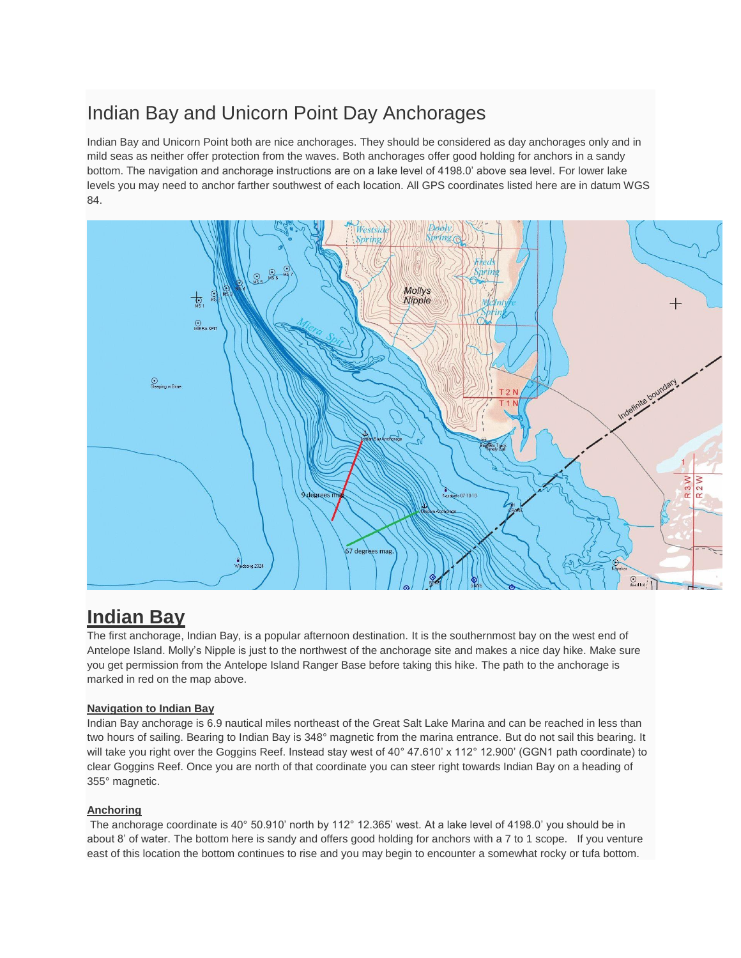# Indian Bay and Unicorn Point Day Anchorages

Indian Bay and Unicorn Point both are nice anchorages. They should be considered as day anchorages only and in mild seas as neither offer protection from the waves. Both anchorages offer good holding for anchors in a sandy bottom. The navigation and anchorage instructions are on a lake level of 4198.0' above sea level. For lower lake levels you may need to anchor farther southwest of each location. All GPS coordinates listed here are in datum WGS 84.



## **Indian Bay**

The first anchorage, Indian Bay, is a popular afternoon destination. It is the southernmost bay on the west end of Antelope Island. Molly's Nipple is just to the northwest of the anchorage site and makes a nice day hike. Make sure you get permission from the Antelope Island Ranger Base before taking this hike. The path to the anchorage is marked in red on the map above.

### **Navigation to Indian Bay**

Indian Bay anchorage is 6.9 nautical miles northeast of the Great Salt Lake Marina and can be reached in less than two hours of sailing. Bearing to Indian Bay is 348° magnetic from the marina entrance. But do not sail this bearing. It will take you right over the Goggins Reef. Instead stay west of 40° 47.610' x 112° 12.900' (GGN1 path coordinate) to clear Goggins Reef. Once you are north of that coordinate you can steer right towards Indian Bay on a heading of 355° magnetic.

### **Anchoring**

The anchorage coordinate is 40° 50.910' north by 112° 12.365' west. At a lake level of 4198.0' you should be in about 8' of water. The bottom here is sandy and offers good holding for anchors with a 7 to 1 scope. If you venture east of this location the bottom continues to rise and you may begin to encounter a somewhat rocky or tufa bottom.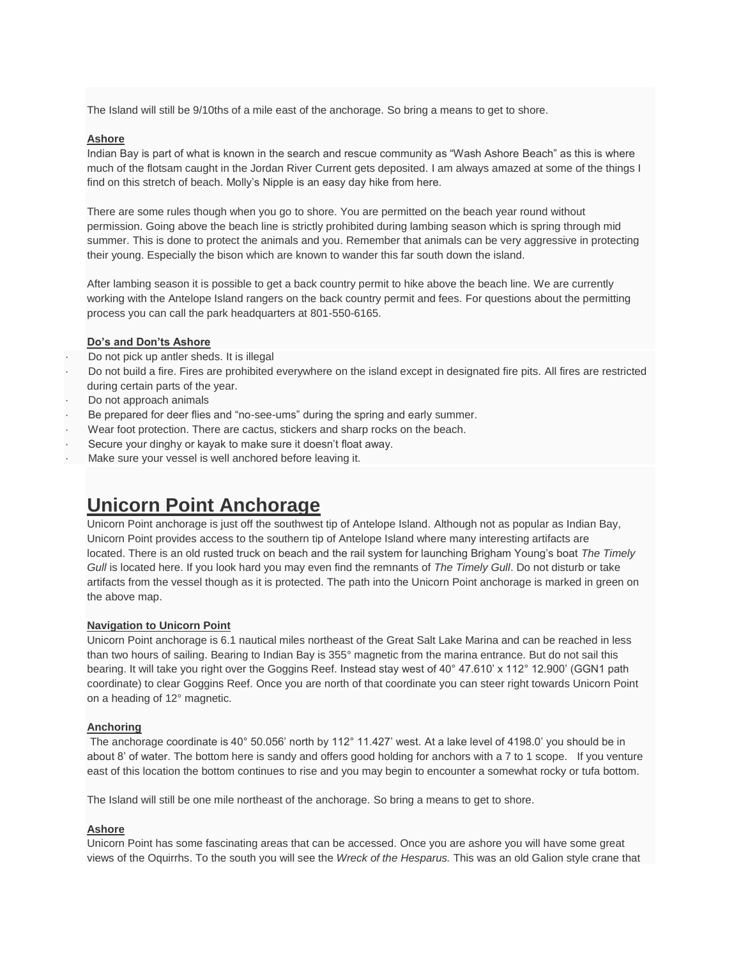The Island will still be 9/10ths of a mile east of the anchorage. So bring a means to get to shore.

#### **Ashore**

Indian Bay is part of what is known in the search and rescue community as "Wash Ashore Beach" as this is where much of the flotsam caught in the Jordan River Current gets deposited. I am always amazed at some of the things I find on this stretch of beach. Molly's Nipple is an easy day hike from here.

There are some rules though when you go to shore. You are permitted on the beach year round without permission. Going above the beach line is strictly prohibited during lambing season which is spring through mid summer. This is done to protect the animals and you. Remember that animals can be very aggressive in protecting their young. Especially the bison which are known to wander this far south down the island.

After lambing season it is possible to get a back country permit to hike above the beach line. We are currently working with the Antelope Island rangers on the back country permit and fees. For questions about the permitting process you can call the park headquarters at 801-550-6165.

#### **Do's and Don'ts Ashore**

- · Do not pick up antler sheds. It is illegal
- · Do not build a fire. Fires are prohibited everywhere on the island except in designated fire pits. All fires are restricted during certain parts of the year.
- Do not approach animals
- Be prepared for deer flies and "no-see-ums" during the spring and early summer.
- Wear foot protection. There are cactus, stickers and sharp rocks on the beach.
- Secure your dinghy or kayak to make sure it doesn't float away.
- Make sure your vessel is well anchored before leaving it.

## **Unicorn Point Anchorage**

Unicorn Point anchorage is just off the southwest tip of Antelope Island. Although not as popular as Indian Bay, Unicorn Point provides access to the southern tip of Antelope Island where many interesting artifacts are located. There is an old rusted truck on beach and the rail system for launching Brigham Young's boat *The Timely Gull* is located here. If you look hard you may even find the remnants of *The Timely Gull*. Do not disturb or take artifacts from the vessel though as it is protected. The path into the Unicorn Point anchorage is marked in green on the above map.

#### **Navigation to Unicorn Point**

Unicorn Point anchorage is 6.1 nautical miles northeast of the Great Salt Lake Marina and can be reached in less than two hours of sailing. Bearing to Indian Bay is 355° magnetic from the marina entrance. But do not sail this bearing. It will take you right over the Goggins Reef. Instead stay west of 40° 47.610' x 112° 12.900' (GGN1 path coordinate) to clear Goggins Reef. Once you are north of that coordinate you can steer right towards Unicorn Point on a heading of 12° magnetic.

#### **Anchoring**

The anchorage coordinate is 40° 50.056' north by 112° 11.427' west. At a lake level of 4198.0' you should be in about 8' of water. The bottom here is sandy and offers good holding for anchors with a 7 to 1 scope. If you venture east of this location the bottom continues to rise and you may begin to encounter a somewhat rocky or tufa bottom.

The Island will still be one mile northeast of the anchorage. So bring a means to get to shore.

#### **Ashore**

Unicorn Point has some fascinating areas that can be accessed. Once you are ashore you will have some great views of the Oquirrhs. To the south you will see the *Wreck of the Hesparus.* This was an old Galion style crane that